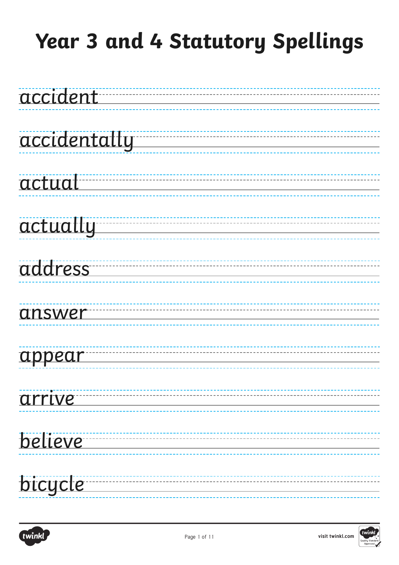

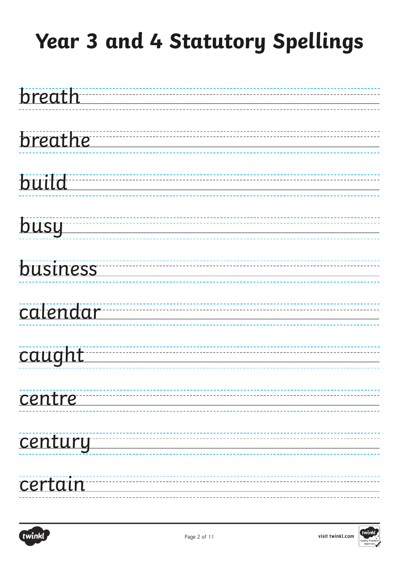

| breathe |  |  |  |
|---------|--|--|--|
|         |  |  |  |

| build |
|-------|
|       |

| <b>busu</b> |
|-------------|
|             |

### business

### calendar

#### caught

| centre |
|--------|
|        |

### century

### certain

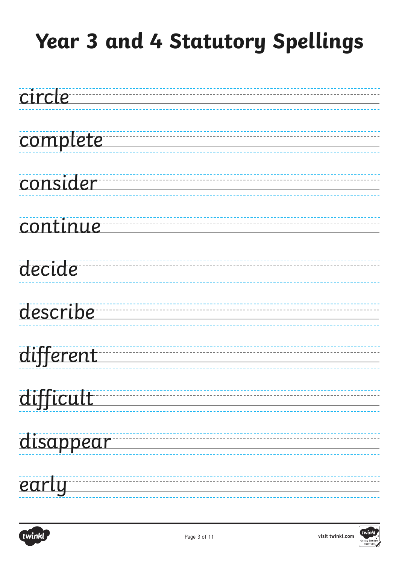

# complete

### consider

### **continue**

# decide

#### describe

# different

# difficult

### disappear

### early

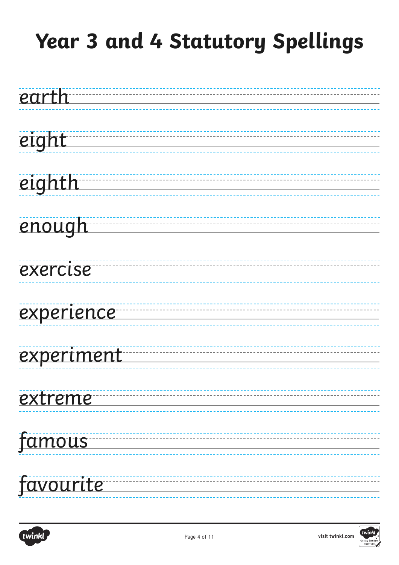

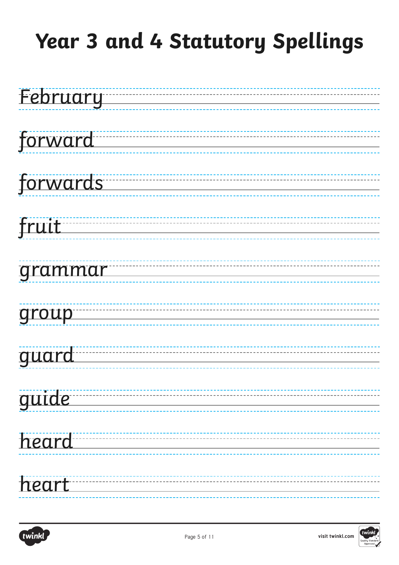

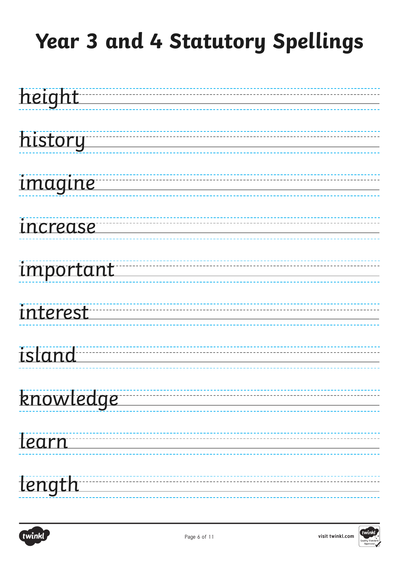

| history |
|---------|
|         |

### imagine

### increase

### important

### interest

#### island

### knowledge

#### learn

# length

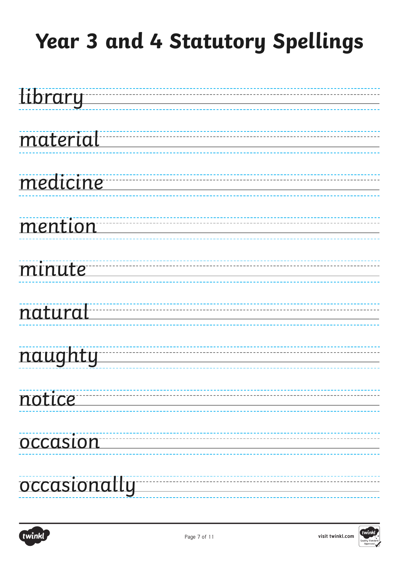

### material

### medicine

### mention

### minute<sup>---</sup>

# natural

#### naughty

# notice

#### occasion

#### occasionally

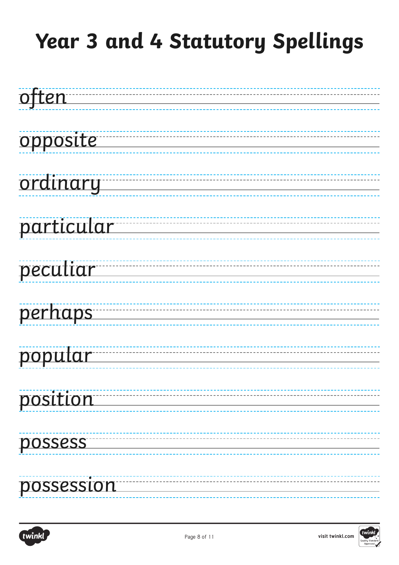

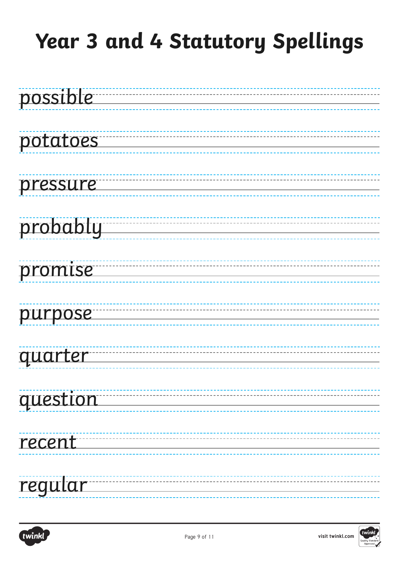

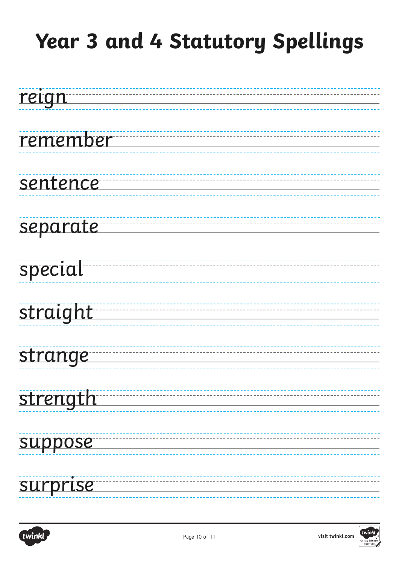